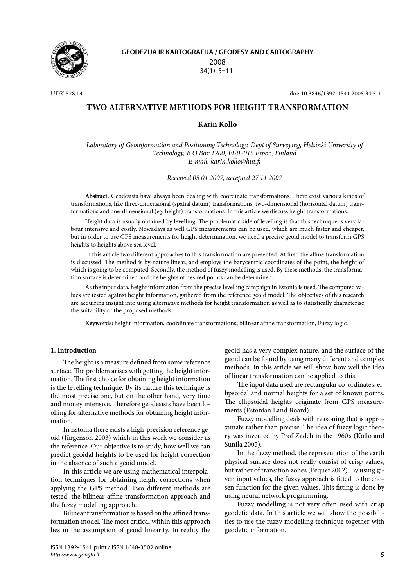

UDK 528.14 doi: 10.3846/1392-1541.2008.34.5-11

# **TWO ALTERNATIVE METHODS FOR HEIGHT TRANSFORMATION**

# **Karin Kollo**

*Laboratory of Geoinformation and Positioning Technology, Dept of Surveying, Helsinki University of Technology, B.O.Box 1200, FI-02015 Espoo, Finland E-mail: karin.kollo@hut.fi*

*Received 05 01 2007, accepted 27 11 2007*

**Abstract.** Geodesists have always been dealing with coordinate transformations. There exist various kinds of transformations, like three-dimensional (spatial datum) transformations, two-dimensional (horizontal datum) transformations and one-dimensional (eg, height) transformations. In this article we discuss height transformations.

Height data is usually obtained by levelling. The problematic side of levelling is that this technique is very labour intensive and costly. Nowadays as well GPS measurements can be used, which are much faster and cheaper, but in order to use GPS measurements for height determination, we need a precise geoid model to transform GPS heights to heights above sea level.

In this article two different approaches to this transformation are presented. At first, the affine transformation is discussed. The method is by nature linear, and employs the barycentric coordinates of the point, the height of which is going to be computed. Secondly, the method of fuzzy modelling is used. By these methods, the transformation surface is determined and the heights of desired points can be determined.

As the input data, height information from the precise levelling campaign in Estonia is used. The computed values are tested against height information, gathered from the reference geoid model. The objectives of this research are acquiring insight into using alternative methods for height transformation as well as to statistically characterise the suitability of the proposed methods.

**Keywords:** height information, coordinate transformations**,** bilinear affine transformation, Fuzzy logic.

## **1. Introduction**

The height is a measure defined from some reference surface. The problem arises with getting the height information. The first choice for obtaining height information is the levelling technique. By its nature this technique is the most precise one, but on the other hand, very time and money intensive. Therefore geodesists have been looking for alternative methods for obtaining height information.

In Estonia there exists a high-precision reference geoid (Jürgenson 2003) which in this work we consider as the reference. Our objective is to study, how well we can predict geoidal heights to be used for height correction in the absence of such a geoid model.

In this article we are using mathematical interpolation techniques for obtaining height corrections when applying the GPS method. Two different methods are tested: the bilinear affine transformation approach and the fuzzy modelling approach.

Bilinear transformation is based on the affined transformation model. The most critical within this approach lies in the assumption of geoid linearity. In reality the geoid has a very complex nature, and the surface of the geoid can be found by using many different and complex methods. In this article we will show, how well the idea of linear transformation can be applied to this.

The input data used are rectangular co-ordinates, ellipsoidal and normal heights for a set of known points. The ellipsoidal heights originate from GPS measurements (Estonian Land Board).

Fuzzy modelling deals with reasoning that is approximate rather than precise. The idea of fuzzy logic theory was invented by Prof Zadeh in the 1960's (Kollo and Sunila 2005).

In the fuzzy method, the representation of the earth physical surface does not really consist of crisp values, but rather of transition zones (Pequet 2002). By using given input values, the fuzzy approach is fitted to the chosen function for the given values. This fitting is done by using neural network programming.

Fuzzy modelling is not very often used with crisp geodetic data. In this article we will show the possibilities to use the fuzzy modelling technique together with geodetic information.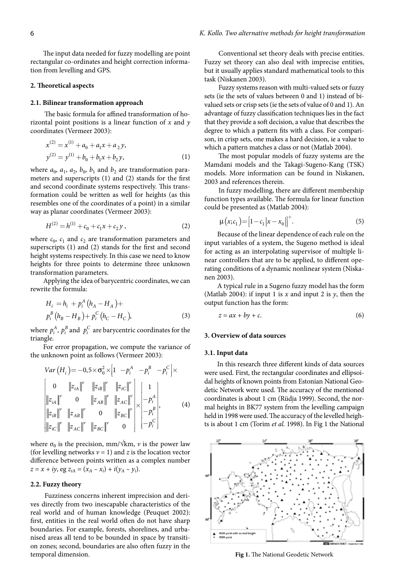The input data needed for fuzzy modelling are point rectangular co-ordinates and height correction information from levelling and GPS.

#### **2. Theoretical aspects**

#### **2.1. Bilinear transformation approach**

The basic formula for affined transformation of horizontal point positions is a linear function of *x* and *y* coordinates (Vermeer 2003):

$$
x^{(2)} = x^{(1)} + a_0 + a_1 x + a_2 y,
$$
  

$$
y^{(2)} = y^{(1)} + b_0 + b_1 x + b_2 y,
$$
 (1)

where  $a_0$ ,  $a_1$ ,  $a_2$ ,  $b_0$ ,  $b_1$  and  $b_2$  are transformation parameters and superscripts (1) and (2) stands for the first and second coordinate systems respectively. This transformation could be written as well for heights (as this resembles one of the coordinates of a point) in a similar way as planar coordinates (Vermeer 2003):

$$
H^{(2)} = h^{(1)} + c_0 + c_1 x + c_2 y, \qquad (2)
$$

where  $c_0$ ,  $c_1$  and  $c_2$  are transformation parameters and superscripts (1) and (2) stands for the first and second height systems respectively. In this case we need to know heights for three points to determine three unknown transformation parameters.

Applying the idea of barycentric coordinates, we can rewrite the formula:

$$
H_{i} = h_{i} + p_{i}^{A} (h_{A} - H_{A}) +
$$
  
\n
$$
p_{i}^{B} (h_{B} - H_{B}) + p_{i}^{C} (h_{C} - H_{C}),
$$
\n(3)

where  $p_i^A$ ,  $p_i^B$  and  $p_i^C$  are barycentric coordinates for the triangle.

For error propagation, we compute the variance of the unknown point as follows (Vermeer 2003):

$$
Var(H_{i}) = -0.5 \times \sigma_{0}^{2} \times \left[1 - p_{i}^{A} - p_{i}^{B} - p_{i}^{C}\right] \times
$$
\n
$$
\begin{bmatrix}\n0 & \|z_{iA}\|^{V} & \|z_{iB}\|^{V} & \|z_{iC}\|^{V} \\
\|z_{iA}\|^{V} & 0 & \|z_{AB}\|^{V} & \|z_{AC}\|^{V} \\
\|z_{iB}\|^{V} & \|z_{AB}\|^{V} & 0 & \|z_{BC}\|^{V} \\
\|z_{iC}\|^{V} & \|z_{AC}\|^{V} & \|z_{BC}\|^{V} & 0\n\end{bmatrix} \times \begin{bmatrix}\n1 \\
-p_{i}^{A} \\
-p_{i}^{B}\n\end{bmatrix},
$$
\n(4)

where  $\sigma_0$  is the precision, mm/ $\sqrt{k}$ m, *v* is the power law (for levelling networks  $v = 1$ ) and *z* is the location vector difference between points written as a complex number  $z = x + iy$ , eg  $z_{iA} = (x_A - x_i) + i(y_A - y_i)$ .

#### **2.2. Fuzzy theory**

Fuzziness concerns inherent imprecision and derives directly from two inescapable characteristics of the real world and of human knowledge (Peuquet 2002): first, entities in the real world often do not have sharp boundaries. For example, forests, shorelines, and urbanised areas all tend to be bounded in space by transition zones; second, boundaries are also often fuzzy in the temporal dimension.

Conventional set theory deals with precise entities. Fuzzy set theory can also deal with imprecise entities, but it usually applies standard mathematical tools to this task (Niskanen 2003).

Fuzzy systems reason with multi-valued sets or fuzzy sets (ie the sets of values between 0 and 1) instead of bivalued sets or crisp sets (ie the sets of value of 0 and 1). An advantage of fuzzy classification techniques lies in the fact that they provide a soft decision, a value that describes the degree to which a pattern fits with a class. For comparison, in crisp sets, one makes a hard decision, ie a value to which a pattern matches a class or not (Matlab 2004).

The most popular models of fuzzy systems are the Mamdani models and the Takagi-Sugeno-Kang (TSK) models. More information can be found in Niskanen, 2003 and references therein.

In fuzzy modelling, there are different membership function types available. The formula for linear function could be presented as (Matlab 2004):

$$
\mu(x; c_1) = [1 - c_1 |x - x_0|]^{+}.
$$
\n(5)

Because of the linear dependence of each rule on the input variables of a system, the Sugeno method is ideal for acting as an interpolating supervisor of multiple linear controllers that are to be applied, to different operating conditions of a dynamic nonlinear system (Niskanen 2003).

A typical rule in a Sugeno fuzzy model has the form (Matlab 2004): if input 1 is  $x$  and input 2 is  $y$ , then the output function has the form:

$$
z = ax + by + c.\t\t(6)
$$

### **3. Overview of data sources**

### **3.1. Input data**

In this research three different kinds of data sources were used. First, the rectangular coordinates and ellipsoidal heights of known points from Estonian National Geodetic Network were used. The accuracy of the mentioned coordinates is about 1 cm (Rüdja 1999). Second, the normal heights in BK77 system from the levelling campaign held in 1998 were used. The accuracy of the levelled heights is about 1 cm (Torim *et al.* 1998). In Fig 1 the National



**Fig 1.** The National Geodetic Network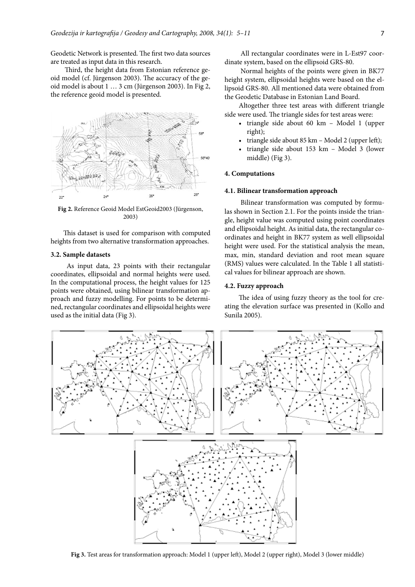Geodetic Network is presented. The first two data sources are treated as input data in this research.

Third, the height data from Estonian reference geoid model (cf. Jürgenson 2003). The accuracy of the geoid model is about 1 … 3 cm (Jürgenson 2003). In Fig 2, the reference geoid model is presented.



**Fig 2.** Reference Geoid Model EstGeoid2003 (Jürgenson, 2003)

This dataset is used for comparison with computed heights from two alternative transformation approaches.

# **3.2. Sample datasets**

As input data, 23 points with their rectangular coordinates, ellipsoidal and normal heights were used. In the computational process, the height values for 125 points were obtained, using bilinear transformation approach and fuzzy modelling. For points to be determined, rectangular coordinates and ellipsoidal heights were used as the initial data (Fig 3).

All rectangular coordinates were in L-Est97 coordinate system, based on the ellipsoid GRS-80.

Normal heights of the points were given in BK77 height system, ellipsoidal heights were based on the ellipsoid GRS-80. All mentioned data were obtained from the Geodetic Database in Estonian Land Board.

Altogether three test areas with different triangle side were used. The triangle sides for test areas were:

- triangle side about 60 km Model 1 (upper right);
- triangle side about  $85 \text{ km}$  Model 2 (upper left);
- triangle side about 153 km Model 3 (lower middle) (Fig 3).

## **4. Computations**

### **4.1. Bilinear transformation approach**

Bilinear transformation was computed by formulas shown in Section 2.1. For the points inside the triangle, height value was computed using point coordinates and ellipsoidal height. As initial data, the rectangular coordinates and height in BK77 system as well ellipsoidal height were used. For the statistical analysis the mean, max, min, standard deviation and root mean square (RMS) values were calculated. In the Table 1 all statistical values for bilinear approach are shown.

### **4.2. Fuzzy approach**

The idea of using fuzzy theory as the tool for creating the elevation surface was presented in (Kollo and Sunila 2005).



**Fig 3.** Test areas for transformation approach: Model 1 (upper left), Model 2 (upper right), Model 3 (lower middle)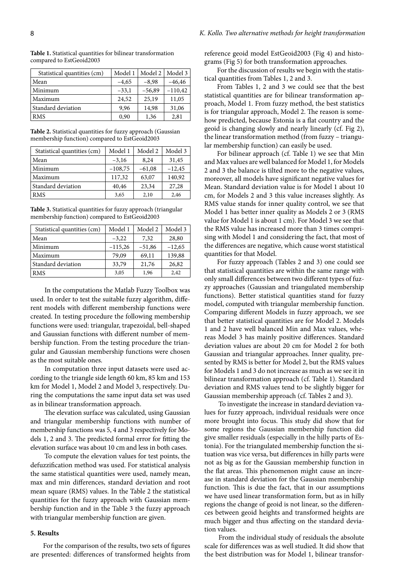| Statistical quantities (cm) | Model 1 | Model 2  | Model 3   |
|-----------------------------|---------|----------|-----------|
| Mean                        | $-4,65$ | $-8,98$  | $-46,46$  |
| Minimum                     | $-33,1$ | $-56,89$ | $-110,42$ |
| Maximum                     | 24,52   | 25,19    | 11,05     |
| Standard deviation          | 9,96    | 14,98    | 31,06     |
| <b>RMS</b>                  | 0,90    | 1,36     | 2,81      |

**Table 1.** Statistical quantities for bilinear transformation compared to EstGeoid2003

**Table 2.** Statistical quantities for fuzzy approach (Gaussian membership function) compared to EstGeoid2003

| Statistical quantities (cm) | Model 1   | Model 2  | Model 3  |
|-----------------------------|-----------|----------|----------|
| Mean                        | $-3,16$   | 8.24     | 31,45    |
| Minimum                     | $-108,75$ | $-61,08$ | $-12,45$ |
| Maximum                     | 117,32    | 63,07    | 140,92   |
| Standard deviation          | 40,46     | 23,34    | 27,28    |
| <b>RMS</b>                  | 3,65      | 2,10     | 2,46     |

**Table 3.** Statistical quantities for fuzzy approach (triangular membership function) compared to EstGeoid2003

| Statistical quantities (cm) | Model 1   | Model 2  | Model 3  |
|-----------------------------|-----------|----------|----------|
| Mean                        | $-3,22$   | 7,32     | 28,80    |
| Minimum                     | $-115,26$ | $-51,86$ | $-12,65$ |
| Maximum                     | 79,09     | 69,11    | 139,88   |
| Standard deviation          | 33,79     | 21,76    | 26,82    |
| <b>RMS</b>                  | 3,05      | 1,96     | 2,42     |

In the computations the Matlab Fuzzy Toolbox was used. In order to test the suitable fuzzy algorithm, different models with different membership functions were created. In testing procedure the following membership functions were used: triangular, trapezoidal, bell-shaped and Gaussian functions with different number of membership function. From the testing procedure the triangular and Gaussian membership functions were chosen as the most suitable ones.

In computation three input datasets were used according to the triangle side length 60 km, 85 km and 153 km for Model 1, Model 2 and Model 3, respectively. During the computations the same input data set was used as in bilinear transformation approach.

The elevation surface was calculated, using Gaussian and triangular membership functions with number of membership functions was 5, 4 and 3 respectively for Models 1, 2 and 3. The predicted formal error for fitting the elevation surface was about 10 cm and less in both cases.

To compute the elevation values for test points, the defuzzification method was used. For statistical analysis the same statistical quantities were used, namely mean, max and min differences, standard deviation and root mean square (RMS) values. In the Table 2 the statistical quantities for the fuzzy approach with Gaussian membership function and in the Table 3 the fuzzy approach with triangular membership function are given.

### **5. Results**

For the comparison of the results, two sets of figures are presented: differences of transformed heights from reference geoid model EstGeoid2003 (Fig 4) and histograms (Fig 5) for both transformation approaches.

For the discussion of results we begin with the statistical quantities from Tables 1, 2 and 3.

From Tables 1, 2 and 3 we could see that the best statistical quantities are for bilinear transformation approach, Model 1. From fuzzy method, the best statistics is for triangular approach, Model 2. The reason is somehow predicted, because Estonia is a flat country and the geoid is changing slowly and nearly linearly (cf. Fig 2), the linear transformation method (from fuzzy – triangular membership function) can easily be used.

For bilinear approach (cf. Table 1) we see that Min and Max values are well balanced for Model 1, for Models 2 and 3 the balance is tilted more to the negative values, moreover, all models have significant negative values for Mean. Standard deviation value is for Model 1 about 10 cm, for Models 2 and 3 this value increases slightly. As RMS value stands for inner quality control, we see that Model 1 has better inner quality as Models 2 or 3 (RMS value for Model 1 is about 1 cm). For Model 3 we see that the RMS value has increased more than 3 times comprising with Model 1 and considering the fact, that most of the differences are negative, which cause worst statistical quantities for that Model.

For fuzzy approach (Tables 2 and 3) one could see that statistical quantities are within the same range with only small differences between two different types of fuzzy approaches (Gaussian and triangulated membership functions). Better statistical quantities stand for fuzzy model, computed with triangular membership function. Comparing different Models in fuzzy approach, we see that better statistical quantities are for Model 2. Models 1 and 2 have well balanced Min and Max values, whereas Model 3 has mainly positive differences. Standard deviation values are about 20 cm for Model 2 for both Gaussian and triangular approaches. Inner quality, presented by RMS is better for Model 2, but the RMS values for Models 1 and 3 do not increase as much as we see it in bilinear transformation approach (cf. Table 1). Standard deviation and RMS values tend to be slightly bigger for Gaussian membership approach (cf. Tables 2 and 3).

To investigate the increase in standard deviation values for fuzzy approach, individual residuals were once more brought into focus. This study did show that for some regions the Gaussian membership function did give smaller residuals (especially in the hilly parts of Estonia). For the triangulated membership function the situation was vice versa, but differences in hilly parts were not as big as for the Gaussian membership function in the flat areas. This phenomenon might cause an increase in standard deviation for the Gaussian membership function. This is due the fact, that in our assumptions we have used linear transformation form, but as in hilly regions the change of geoid is not linear, so the differences between geoid heights and transformed heights are much bigger and thus affecting on the standard deviation values.

From the individual study of residuals the absolute scale for differences was as well studied. It did show that the best distribution was for Model 1, bilinear transfor-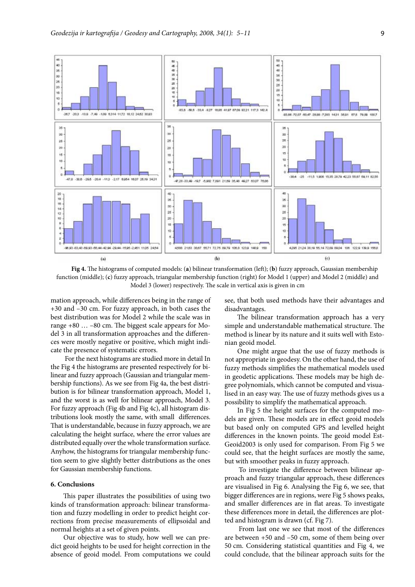

**Fig 4.** The histograms of computed models: (**a**) bilinear transformation (left); (**b**) fuzzy approach, Gaussian membership function (middle); (**c**) fuzzy approach, triangular membership function (right) for Model 1 (upper) and Model 2 (middle) and Model 3 (lower) respectively. The scale in vertical axis is given in cm

mation approach, while differences being in the range of +30 and –30 cm. For fuzzy approach, in both cases the best distribution was for Model 2 while the scale was in range +80 … –80 cm. The biggest scale appears for Model 3 in all transformation approaches and the differences were mostly negative or positive, which might indicate the presence of systematic errors.

For the next histograms are studied more in detail In the Fig 4 the histograms are presented respectively for bilinear and fuzzy approach (Gaussian and triangular membership functions). As we see from Fig 4a, the best distribution is for bilinear transformation approach, Model 1, and the worst is as well for bilinear approach, Model 3. For fuzzy approach (Fig 4b and Fig 4c), all histogram distributions look mostly the same, with small differences. That is understandable, because in fuzzy approach, we are calculating the height surface, where the error values are distributed equally over the whole transformation surface. Anyhow, the histograms for triangular membership function seem to give slightly better distributions as the ones for Gaussian membership functions.

### **6. Conclusions**

This paper illustrates the possibilities of using two kinds of transformation approach: bilinear transformation and fuzzy modelling in order to predict height corrections from precise measurements of ellipsoidal and normal heights at a set of given points.

Our objective was to study, how well we can predict geoid heights to be used for height correction in the absence of geoid model. From computations we could see, that both used methods have their advantages and disadvantages.

The bilinear transformation approach has a very simple and understandable mathematical structure. The method is linear by its nature and it suits well with Estonian geoid model.

One might argue that the use of fuzzy methods is not appropriate in geodesy. On the other hand, the use of fuzzy methods simplifies the mathematical models used in geodetic applications. These models may be high degree polynomials, which cannot be computed and visualised in an easy way. The use of fuzzy methods gives us a possibility to simplify the mathematical approach.

In Fig 5 the height surfaces for the computed models are given. These models are in effect geoid models but based only on computed GPS and levelled height differences in the known points. The geoid model Est-Geoid2003 is only used for comparison. From Fig 5 we could see, that the height surfaces are mostly the same, but with smoother peaks in fuzzy approach.

To investigate the difference between bilinear approach and fuzzy triangular approach, these differences are visualised in Fig 6. Analysing the Fig 6, we see, that bigger differences are in regions, were Fig 5 shows peaks, and smaller differences are in flat areas. To investigate these differences more in detail, the differences are plotted and histogram is drawn (cf. Fig 7).

From last one we see that most of the differences are between +50 and –50 cm, some of them being over 50 cm. Considering statistical quantities and Fig 4, we could conclude, that the bilinear approach suits for the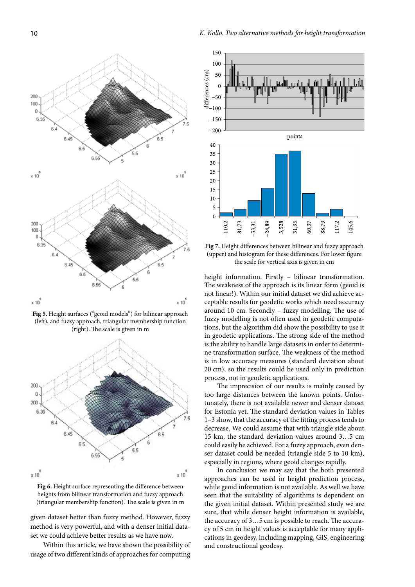

**Fig 5.** Height surfaces ("geoid models") for bilinear approach (left), and fuzzy approach, triangular membership function (right). The scale is given in m



**Fig 6.** Height surface representing the difference between heights from bilinear transformation and fuzzy approach (triangular membership function). The scale is given in m

given dataset better than fuzzy method. However, fuzzy method is very powerful, and with a denser initial dataset we could achieve better results as we have now.

Within this article, we have shown the possibility of usage of two different kinds of approaches for computing



**Fig 7.** Height differences between bilinear and fuzzy approach (upper) and histogram for these differences. For lower figure the scale for vertical axis is given in cm

height information. Firstly – bilinear transformation. The weakness of the approach is its linear form (geoid is not linear!). Within our initial dataset we did achieve acceptable results for geodetic works which need accuracy around 10 cm. Secondly – fuzzy modelling. The use of fuzzy modelling is not often used in geodetic computations, but the algorithm did show the possibility to use it in geodetic applications. The strong side of the method is the ability to handle large datasets in order to determine transformation surface. The weakness of the method is in low accuracy measures (standard deviation about 20 cm), so the results could be used only in prediction process, not in geodetic applications.

The imprecision of our results is mainly caused by too large distances between the known points. Unfortunately, there is not available newer and denser dataset for Estonia yet. The standard deviation values in Tables 1–3 show, that the accuracy of the fitting process tends to decrease. We could assume that with triangle side about 15 km, the standard deviation values around 3…5 cm could easily be achieved. For a fuzzy approach, even denser dataset could be needed (triangle side 5 to 10 km), especially in regions, where geoid changes rapidly.

In conclusion we may say that the both presented approaches can be used in height prediction process, while geoid information is not available. As well we have seen that the suitability of algorithms is dependent on the given initial dataset. Within presented study we are sure, that while denser height information is available, the accuracy of 3…5 cm is possible to reach. The accuracy of 5 cm in height values is acceptable for many applications in geodesy, including mapping, GIS, engineering and constructional geodesy.